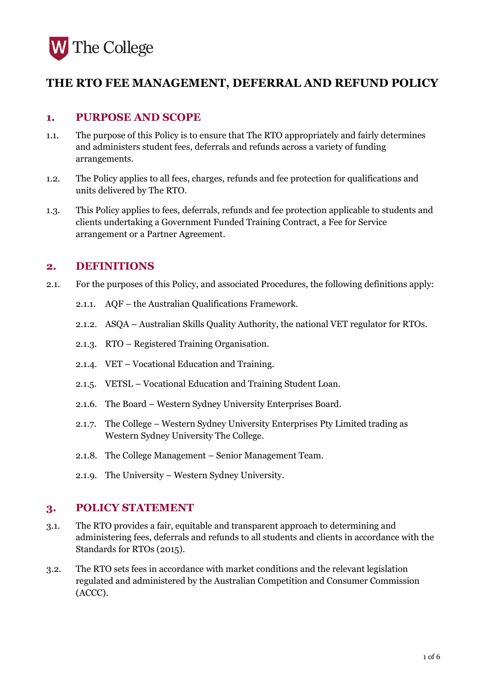

# **THE RTO FEE MANAGEMENT, DEFERRAL AND REFUND POLICY**

## **1. PURPOSE AND SCOPE**

- 1.1. The purpose of this Policy is to ensure that The RTO appropriately and fairly determines and administers student fees, deferrals and refunds across a variety of funding arrangements.
- 1.2. The Policy applies to all fees, charges, refunds and fee protection for qualifications and units delivered by The RTO.
- 1.3. This Policy applies to fees, deferrals, refunds and fee protection applicable to students and clients undertaking a Government Funded Training Contract, a Fee for Service arrangement or a Partner Agreement.

## **2. DEFINITIONS**

- 2.1. For the purposes of this Policy, and associated Procedures, the following definitions apply:
	- 2.1.1. AQF the Australian Qualifications Framework.
	- 2.1.2. ASQA Australian Skills Quality Authority, the national VET regulator for RTOs.
	- 2.1.3. RTO Registered Training Organisation.
	- 2.1.4. VET Vocational Education and Training.
	- 2.1.5. VETSL Vocational Education and Training Student Loan.
	- 2.1.6. The Board Western Sydney University Enterprises Board.
	- 2.1.7. The College Western Sydney University Enterprises Pty Limited trading as Western Sydney University The College.
	- 2.1.8. The College Management Senior Management Team.
	- 2.1.9. The University Western Sydney University.

### **3. POLICY STATEMENT**

- 3.1. The RTO provides a fair, equitable and transparent approach to determining and administering fees, deferrals and refunds to all students and clients in accordance with the Standards for RTOs (2015).
- 3.2. The RTO sets fees in accordance with market conditions and the relevant legislation regulated and administered by the Australian Competition and Consumer Commission (ACCC).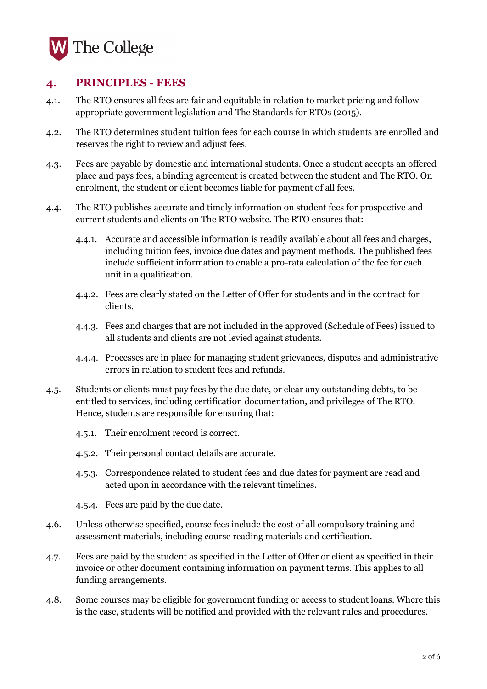

## **4. PRINCIPLES - FEES**

- 4.1. The RTO ensures all fees are fair and equitable in relation to market pricing and follow appropriate government legislation and The Standards for RTOs (2015).
- 4.2. The RTO determines student tuition fees for each course in which students are enrolled and reserves the right to review and adjust fees.
- 4.3. Fees are payable by domestic and international students. Once a student accepts an offered place and pays fees, a binding agreement is created between the student and The RTO. On enrolment, the student or client becomes liable for payment of all fees.
- 4.4. The RTO publishes accurate and timely information on student fees for prospective and current students and clients on The RTO website. The RTO ensures that:
	- 4.4.1. Accurate and accessible information is readily available about all fees and charges, including tuition fees, invoice due dates and payment methods. The published fees include sufficient information to enable a pro-rata calculation of the fee for each unit in a qualification.
	- 4.4.2. Fees are clearly stated on the Letter of Offer for students and in the contract for clients.
	- 4.4.3. Fees and charges that are not included in the approved (Schedule of Fees) issued to all students and clients are not levied against students.
	- 4.4.4. Processes are in place for managing student grievances, disputes and administrative errors in relation to student fees and refunds.
- 4.5. Students or clients must pay fees by the due date, or clear any outstanding debts, to be entitled to services, including certification documentation, and privileges of The RTO. Hence, students are responsible for ensuring that:
	- 4.5.1. Their enrolment record is correct.
	- 4.5.2. Their personal contact details are accurate.
	- 4.5.3. Correspondence related to student fees and due dates for payment are read and acted upon in accordance with the relevant timelines.
	- 4.5.4. Fees are paid by the due date.
- 4.6. Unless otherwise specified, course fees include the cost of all compulsory training and assessment materials, including course reading materials and certification.
- 4.7. Fees are paid by the student as specified in the Letter of Offer or client as specified in their invoice or other document containing information on payment terms. This applies to all funding arrangements.
- 4.8. Some courses may be eligible for government funding or access to student loans. Where this is the case, students will be notified and provided with the relevant rules and procedures.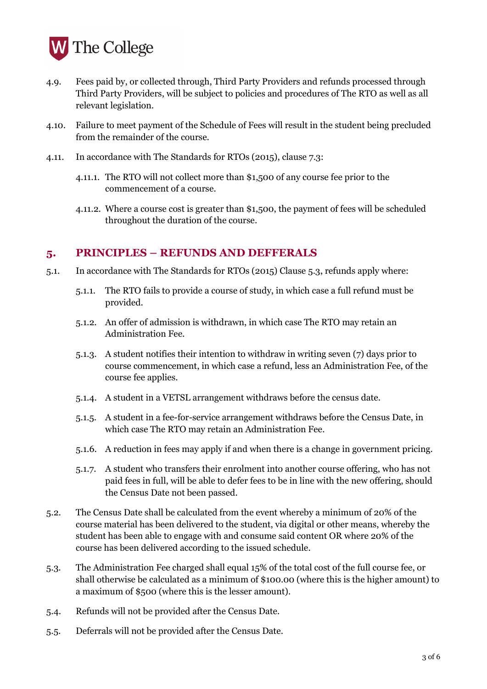

- 4.9. Fees paid by, or collected through, Third Party Providers and refunds processed through Third Party Providers, will be subject to policies and procedures of The RTO as well as all relevant legislation.
- 4.10. Failure to meet payment of the Schedule of Fees will result in the student being precluded from the remainder of the course.
- 4.11. In accordance with The Standards for RTOs (2015), clause 7.3:
	- 4.11.1. The RTO will not collect more than \$1,500 of any course fee prior to the commencement of a course.
	- 4.11.2. Where a course cost is greater than \$1,500, the payment of fees will be scheduled throughout the duration of the course.

### **5. PRINCIPLES – REFUNDS AND DEFFERALS**

- 5.1. In accordance with The Standards for RTOs (2015) Clause 5.3, refunds apply where:
	- 5.1.1. The RTO fails to provide a course of study, in which case a full refund must be provided.
	- 5.1.2. An offer of admission is withdrawn, in which case The RTO may retain an Administration Fee.
	- 5.1.3. A student notifies their intention to withdraw in writing seven (7) days prior to course commencement, in which case a refund, less an Administration Fee, of the course fee applies.
	- 5.1.4. A student in a VETSL arrangement withdraws before the census date.
	- 5.1.5. A student in a fee-for-service arrangement withdraws before the Census Date, in which case The RTO may retain an Administration Fee.
	- 5.1.6. A reduction in fees may apply if and when there is a change in government pricing.
	- 5.1.7. A student who transfers their enrolment into another course offering, who has not paid fees in full, will be able to defer fees to be in line with the new offering, should the Census Date not been passed.
- 5.2. The Census Date shall be calculated from the event whereby a minimum of 20% of the course material has been delivered to the student, via digital or other means, whereby the student has been able to engage with and consume said content OR where 20% of the course has been delivered according to the issued schedule.
- 5.3. The Administration Fee charged shall equal 15% of the total cost of the full course fee, or shall otherwise be calculated as a minimum of \$100.00 (where this is the higher amount) to a maximum of \$500 (where this is the lesser amount).
- 5.4. Refunds will not be provided after the Census Date.
- 5.5. Deferrals will not be provided after the Census Date.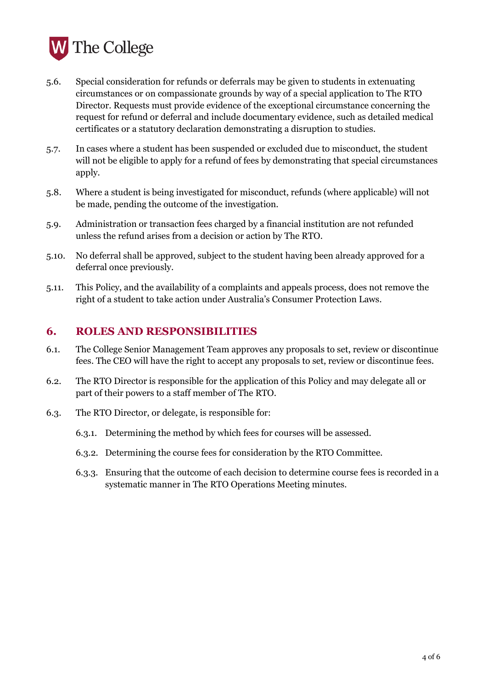

- 5.6. Special consideration for refunds or deferrals may be given to students in extenuating circumstances or on compassionate grounds by way of a special application to The RTO Director. Requests must provide evidence of the exceptional circumstance concerning the request for refund or deferral and include documentary evidence, such as detailed medical certificates or a statutory declaration demonstrating a disruption to studies.
- 5.7. In cases where a student has been suspended or excluded due to misconduct, the student will not be eligible to apply for a refund of fees by demonstrating that special circumstances apply.
- 5.8. Where a student is being investigated for misconduct, refunds (where applicable) will not be made, pending the outcome of the investigation.
- 5.9. Administration or transaction fees charged by a financial institution are not refunded unless the refund arises from a decision or action by The RTO.
- 5.10. No deferral shall be approved, subject to the student having been already approved for a deferral once previously.
- 5.11. This Policy, and the availability of a complaints and appeals process, does not remove the right of a student to take action under Australia's Consumer Protection Laws.

## **6. ROLES AND RESPONSIBILITIES**

- 6.1. The College Senior Management Team approves any proposals to set, review or discontinue fees. The CEO will have the right to accept any proposals to set, review or discontinue fees.
- 6.2. The RTO Director is responsible for the application of this Policy and may delegate all or part of their powers to a staff member of The RTO.
- 6.3. The RTO Director, or delegate, is responsible for:
	- 6.3.1. Determining the method by which fees for courses will be assessed.
	- 6.3.2. Determining the course fees for consideration by the RTO Committee.
	- 6.3.3. Ensuring that the outcome of each decision to determine course fees is recorded in a systematic manner in The RTO Operations Meeting minutes.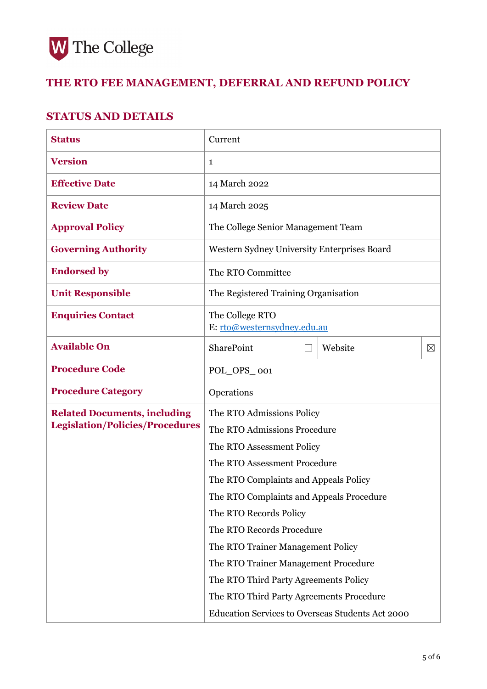

# **THE RTO FEE MANAGEMENT, DEFERRAL AND REFUND POLICY**

## **STATUS AND DETAILS**

| <b>Status</b>                                                                 | Current                                          |  |         |             |
|-------------------------------------------------------------------------------|--------------------------------------------------|--|---------|-------------|
| <b>Version</b>                                                                | 1                                                |  |         |             |
| <b>Effective Date</b>                                                         | 14 March 2022                                    |  |         |             |
| <b>Review Date</b>                                                            | 14 March 2025                                    |  |         |             |
| <b>Approval Policy</b>                                                        | The College Senior Management Team               |  |         |             |
| <b>Governing Authority</b>                                                    | Western Sydney University Enterprises Board      |  |         |             |
| <b>Endorsed by</b>                                                            | The RTO Committee                                |  |         |             |
| <b>Unit Responsible</b>                                                       | The Registered Training Organisation             |  |         |             |
| <b>Enquiries Contact</b>                                                      | The College RTO<br>E: rto@westernsydney.edu.au   |  |         |             |
| <b>Available On</b>                                                           | SharePoint                                       |  | Website | $\boxtimes$ |
| <b>Procedure Code</b>                                                         | POL_OPS_001                                      |  |         |             |
| <b>Procedure Category</b>                                                     | Operations                                       |  |         |             |
| <b>Related Documents, including</b><br><b>Legislation/Policies/Procedures</b> | The RTO Admissions Policy                        |  |         |             |
|                                                                               | The RTO Admissions Procedure                     |  |         |             |
|                                                                               | The RTO Assessment Policy                        |  |         |             |
|                                                                               | The RTO Assessment Procedure                     |  |         |             |
|                                                                               | The RTO Complaints and Appeals Policy            |  |         |             |
|                                                                               | The RTO Complaints and Appeals Procedure         |  |         |             |
|                                                                               | The RTO Records Policy                           |  |         |             |
|                                                                               | The RTO Records Procedure                        |  |         |             |
|                                                                               | The RTO Trainer Management Policy                |  |         |             |
|                                                                               | The RTO Trainer Management Procedure             |  |         |             |
|                                                                               | The RTO Third Party Agreements Policy            |  |         |             |
|                                                                               | The RTO Third Party Agreements Procedure         |  |         |             |
|                                                                               | Education Services to Overseas Students Act 2000 |  |         |             |